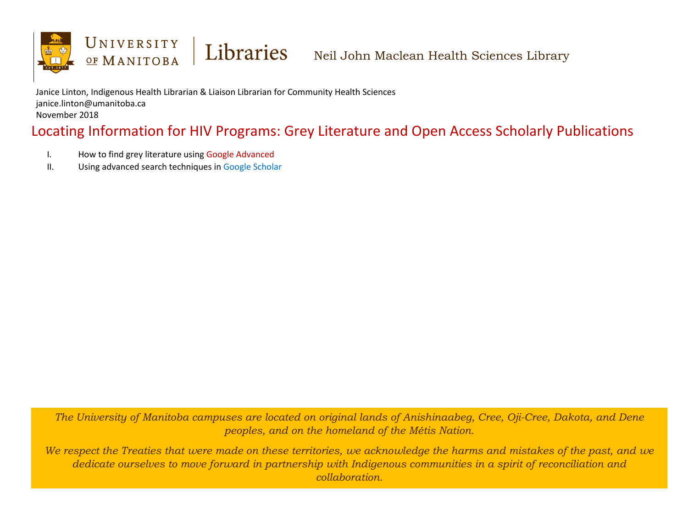

Janice Linton, Indigenous Health Librarian & Liaison Librarian for Community Health Sciences janice.linton@umanitoba.ca November 2018

# Locating Information for HIV Programs: Grey Literature and Open Access Scholarly Publications

- I. How to find grey literature using Google Advanced
- II. Using advanced search techniques in Google Scholar

*The University of Manitoba campuses are located on original lands of Anishinaabeg, Cree, Oji-Cree, Dakota, and Dene peoples, and on the homeland of the Métis Nation.*

*We respect the Treaties that were made on these territories, we acknowledge the harms and mistakes of the past, and we dedicate ourselves to move forward in partnership with Indigenous communities in a spirit of reconciliation and collaboration.*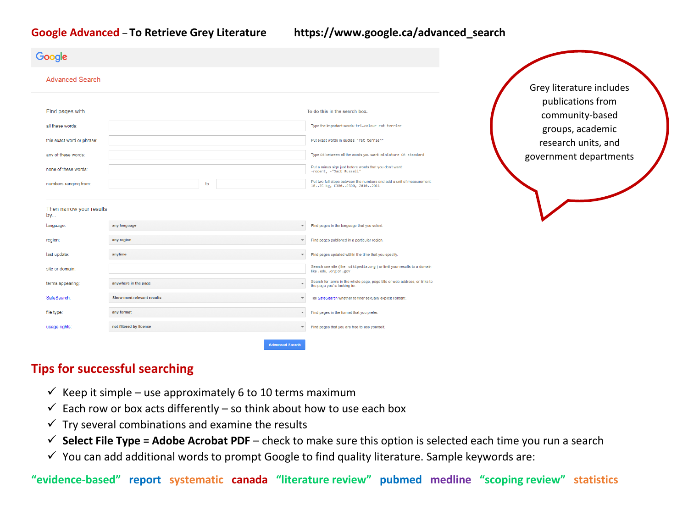#### **Google Advanced** – **To Retrieve Grey Literature https://www.google.ca/advanced\_search**

| Google                              |                            |                                                                                                                                               |
|-------------------------------------|----------------------------|-----------------------------------------------------------------------------------------------------------------------------------------------|
| <b>Advanced Search</b>              |                            | Grey literature includes                                                                                                                      |
| Find pages with<br>all these words: |                            | publications from<br>To do this in the search box.<br>community-based<br>Type the important words: tri-colour rat terrier<br>groups, academic |
| this exact word or phrase:          |                            | Put exact words in quotes: "rat terrier"<br>research units, and                                                                               |
| any of these words:                 |                            | Type OR between all the words you want: miniature OR standard<br>government departments                                                       |
| none of these words:                |                            | Put a minus sign just before words that you don't want:<br>-rodent, -"Jack Russell"                                                           |
| numbers ranging from:               | to                         | Put two full stops between the numbers and add a unit of measurement:<br>1035 kg, £300£500, 20102011                                          |
| Then narrow your results<br>by      |                            |                                                                                                                                               |
| language:                           | any language               | Find pages in the language that you select.<br>$\overline{\phantom{a}}$                                                                       |
| region:                             | any region                 | Find pages published in a particular region.<br>$\overline{\phantom{a}}$                                                                      |
| last update:                        | anytime                    | Find pages updated within the time that you specify.<br>$\overline{\phantom{m}}$                                                              |
| site or domain:                     |                            | Search one site (like wikipedia.org) or limit your results to a domain<br>like . edu, . org or . gov                                          |
| terms appearing:                    | anywhere in the page<br>÷  | Search for terms in the whole page, page title or web address, or links to<br>the page you're looking for.                                    |
| SafeSearch:                         | Show most relevant results | Tell SafeSearch whether to filter sexually explicit content.<br>$\overline{\phantom{a}}$                                                      |
| file type:                          | any format                 | Find pages in the format that you prefer.<br>$\overline{\phantom{a}}$                                                                         |
| usage rights:                       | not filtered by licence    | Find pages that you are free to use yourself.                                                                                                 |
|                                     | <b>Advanced Search</b>     |                                                                                                                                               |

## **Tips for successful searching**

- Keep it simple use approximately 6 to 10 terms maximum
- $\checkmark$  Each row or box acts differently so think about how to use each box
- $\checkmark$  Try several combinations and examine the results
- $\checkmark$  Select File Type = Adobe Acrobat PDF check to make sure this option is selected each time you run a search
- $\checkmark$  You can add additional words to prompt Google to find quality literature. Sample keywords are:

**"evidence-based" report systematic canada "literature review" pubmed medline "scoping review" statistics**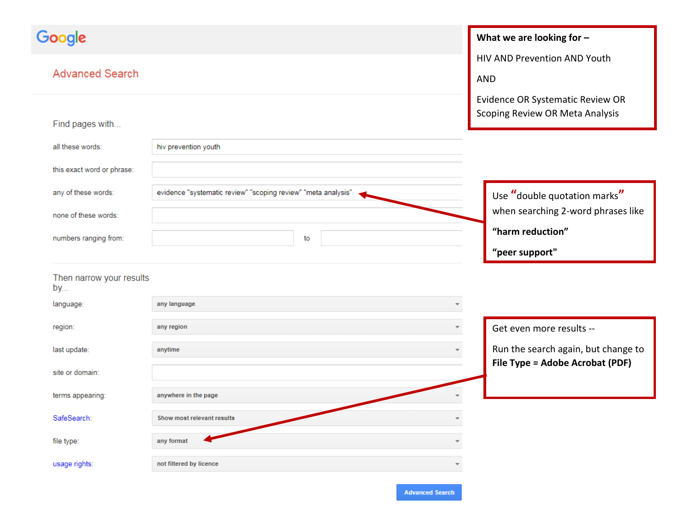| Google                         |                                                               | What we are looking for $-$         |
|--------------------------------|---------------------------------------------------------------|-------------------------------------|
|                                |                                                               | HIV AND Prevention AND Youth        |
| <b>Advanced Search</b>         |                                                               | <b>AND</b>                          |
|                                |                                                               | Evidence OR Systematic Review OR    |
| Find pages with                |                                                               | Scoping Review OR Meta Analysis     |
|                                |                                                               |                                     |
| all these words:               | hiv prevention youth                                          |                                     |
| this exact word or phrase:     |                                                               |                                     |
| any of these words:            | evidence "systematic review" "scoping review" "meta analysis" | Use "double quotation marks"        |
| none of these words:           |                                                               | when searching 2-word phrases like  |
|                                |                                                               | "harm reduction"                    |
| numbers ranging from:          | to                                                            |                                     |
|                                |                                                               | "peer support"                      |
| Then narrow your results<br>by |                                                               |                                     |
| language:                      | any language<br>$\overline{\phantom{a}}$                      |                                     |
| region:                        | any region                                                    | Get even more results --            |
| last update:                   | anytime                                                       | Run the search again, but change to |
| site or domain:                |                                                               | File Type = Adobe Acrobat (PDF)     |
|                                |                                                               |                                     |
| terms appearing:               | anywhere in the page                                          |                                     |
| SafeSearch:                    | Show most relevant results<br>÷                               |                                     |
| file type:                     | any format                                                    |                                     |
| usage rights:                  | not filtered by licence                                       |                                     |
|                                |                                                               |                                     |

**Advanced Search**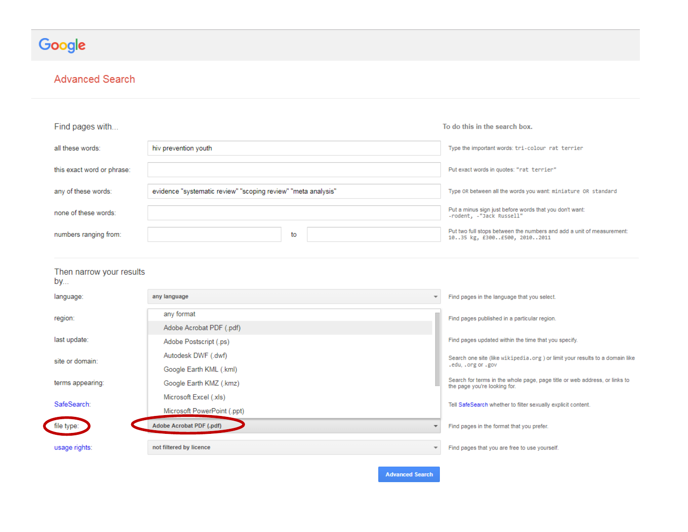# Google

#### **Advanced Search**

| Find pages with                |                                                               | To do this in the search box.                                                                              |
|--------------------------------|---------------------------------------------------------------|------------------------------------------------------------------------------------------------------------|
| all these words:               | hiv prevention youth                                          | Type the important words: tri-colour rat terrier                                                           |
| this exact word or phrase:     |                                                               | Put exact words in quotes: "rat terrier"                                                                   |
| any of these words:            | evidence "systematic review" "scoping review" "meta analysis" | Type OR between all the words you want: miniature OR standard                                              |
| none of these words:           |                                                               | Put a minus sign just before words that you don't want:<br>-rodent, -"Jack Russell"                        |
| numbers ranging from:          | to                                                            | Put two full stops between the numbers and add a unit of measurement:<br>1035 kg, £300£500, 20102011       |
| Then narrow your results<br>by |                                                               |                                                                                                            |
| language:                      | any language                                                  | Find pages in the language that you select.                                                                |
| region:                        | any format<br>Adobe Acrobat PDF (.pdf)                        | Find pages published in a particular region.                                                               |
| last update:                   | Adobe Postscript (.ps)                                        | Find pages updated within the time that you specify.                                                       |
| site or domain:                | Autodesk DWF (.dwf)<br>Google Earth KML (.kml)                | Search one site (like wikipedia.org) or limit your results to a domain like<br>.edu, .org or .gov          |
| terms appearing:               | Google Earth KMZ (.kmz)                                       | Search for terms in the whole page, page title or web address, or links to<br>the page you're looking for. |
| SafeSearch:                    | Microsoft Excel (.xls)<br>Microsoft PowerPoint (.ppt)         | Tell SafeSearch whether to filter sexually explicit content.                                               |
| file type:                     | Adobe Acrobat PDF (.pdf)<br>$\overline{\phantom{a}}$          | Find pages in the format that you prefer.                                                                  |
| usage rights:                  | not filtered by licence<br>$\overline{\phantom{a}}$           | Find pages that you are free to use yourself.                                                              |
|                                | <b>Advanced Search</b>                                        |                                                                                                            |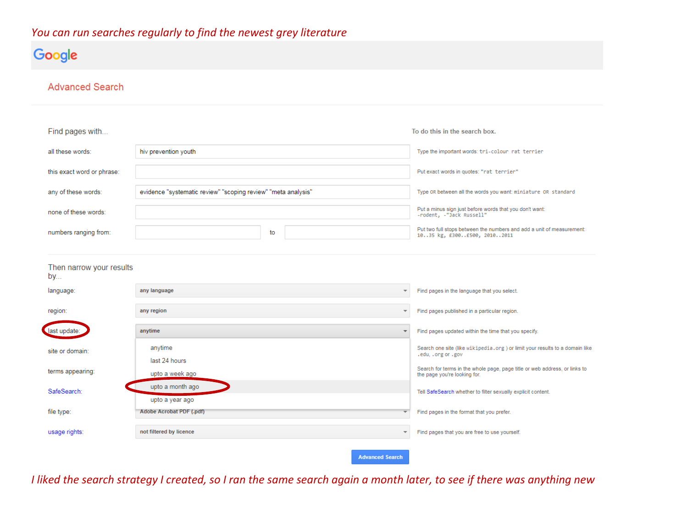## *You can run searches regularly to find the newest grey literature*

# Google

#### **Advanced Search**

| all these words:<br>hiv prevention youth<br>Type the important words: tri-colour rat terrier                                                                       |  |
|--------------------------------------------------------------------------------------------------------------------------------------------------------------------|--|
|                                                                                                                                                                    |  |
| this exact word or phrase:<br>Put exact words in quotes: "rat terrier"                                                                                             |  |
| evidence "systematic review" "scoping review" "meta analysis"<br>any of these words:<br>Type OR between all the words you want: miniature OR standard              |  |
| Put a minus sign just before words that you don't want:<br>none of these words:<br>-rodent, -"Jack Russell"                                                        |  |
| Put two full stops between the numbers and add a unit of measurement:<br>numbers ranging from:<br>to<br>1035 kg, £300£500, 20102011                                |  |
|                                                                                                                                                                    |  |
| Then narrow your results<br>by                                                                                                                                     |  |
| Find pages in the language that you select.<br>language:<br>any language<br>$\overline{\mathbf{v}}$                                                                |  |
| region:<br>any region<br>Find pages published in a particular region.<br>$\overline{\phantom{a}}$                                                                  |  |
| last update:<br>anytime<br>Find pages updated within the time that you specify.                                                                                    |  |
| anytime<br>Search one site (like wikipedia.org) or limit your results to a domain like<br>site or domain:<br>.edu, .org or .gov                                    |  |
| last 24 hours<br>Search for terms in the whole page, page title or web address, or links to<br>terms appearing:<br>upto a week ago<br>the page you're looking for. |  |
| upto a month ago<br>SafeSearch:<br>Tell SafeSearch whether to filter sexually explicit content.                                                                    |  |
| upto a year ago<br>file type:<br>Adobe Acrobat PDF (.pdf)<br>Find pages in the format that you prefer.                                                             |  |
| not filtered by licence<br>usage rights:<br>Find pages that you are free to use yourself.<br>$\overline{\phantom{a}}$                                              |  |
| <b>Advanced Search</b>                                                                                                                                             |  |

*I liked the search strategy I created, so I ran the same search again a month later, to see if there was anything new*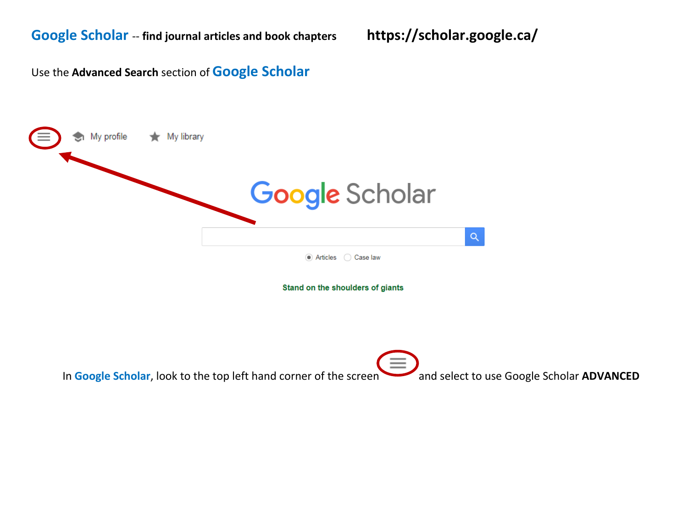Use the **Advanced Search** section of **Google Scholar** 

| My profile <b>*</b> My library |                                  |          |
|--------------------------------|----------------------------------|----------|
|                                | <b>Google</b> Scholar            |          |
|                                | Articles Case law                | $\alpha$ |
|                                | Stand on the shoulders of giants |          |

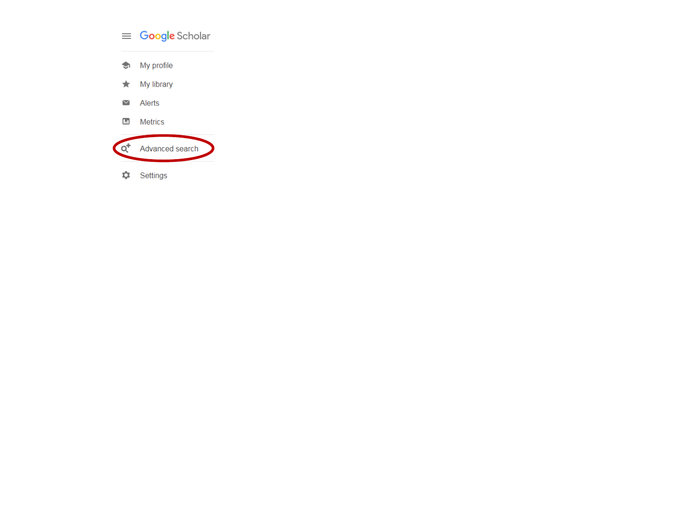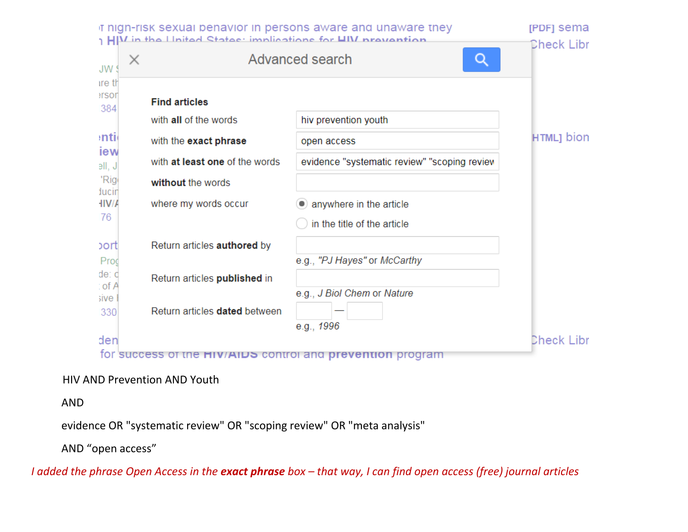

#### HIV AND Prevention AND Youth

AND

evidence OR "systematic review" OR "scoping review" OR "meta analysis"

AND "open access"

*I added the phrase Open Access in the exact phrase box – that way, I can find open access (free) journal articles*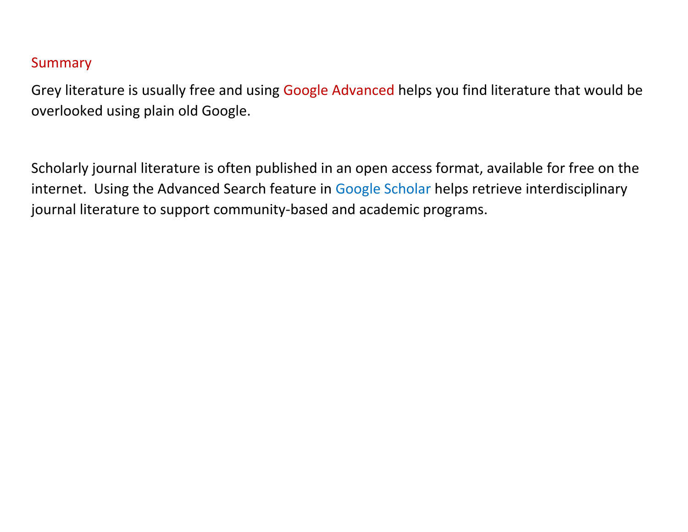# **Summary**

Grey literature is usually free and using Google Advanced helps you find literature that would be overlooked using plain old Google.

Scholarly journal literature is often published in an open access format, available for free on the internet. Using the Advanced Search feature in Google Scholar helps retrieve interdisciplinary journal literature to support community-based and academic programs.